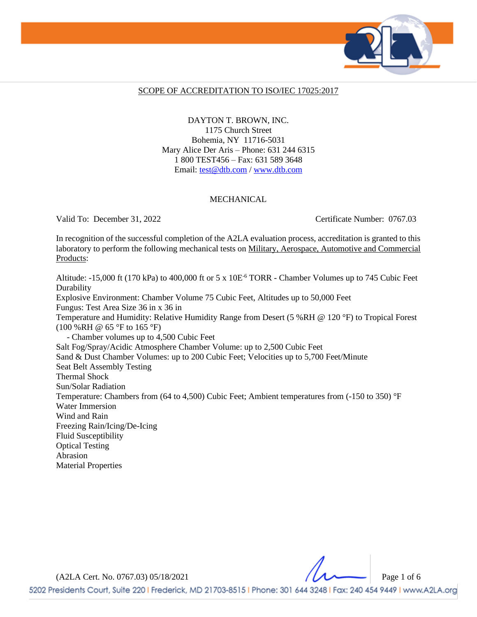

### SCOPE OF ACCREDITATION TO ISO/IEC 17025:2017

DAYTON T. BROWN, INC. 1175 Church Street Bohemia, NY 11716-5031 Mary Alice Der Aris – Phone: 631 244 6315 1 800 TEST456 – Fax: 631 589 3648 Email: [test@dtb.com](mailto:test@dtb.com) [/ www.dtb.com](http://www.dtb.com/)

#### MECHANICAL

Valid To: December 31, 2022 Certificate Number: 0767.03

In recognition of the successful completion of the A2LA evaluation process, accreditation is granted to this laboratory to perform the following mechanical tests on Military, Aerospace, Automotive and Commercial Products:

Altitude: -15,000 ft (170 kPa) to 400,000 ft or 5 x 10E-6 TORR - Chamber Volumes up to 745 Cubic Feet Durability Explosive Environment: Chamber Volume 75 Cubic Feet, Altitudes up to 50,000 Feet Fungus: Test Area Size 36 in x 36 in Temperature and Humidity: Relative Humidity Range from Desert (5 %RH @ 120 °F) to Tropical Forest (100 %RH @ 65 °F to 165 °F) - Chamber volumes up to 4,500 Cubic Feet Salt Fog/Spray/Acidic Atmosphere Chamber Volume: up to 2,500 Cubic Feet Sand & Dust Chamber Volumes: up to 200 Cubic Feet; Velocities up to 5,700 Feet/Minute Seat Belt Assembly Testing Thermal Shock Sun/Solar Radiation Temperature: Chambers from (64 to 4,500) Cubic Feet; Ambient temperatures from (-150 to 350) °F Water Immersion Wind and Rain Freezing Rain/Icing/De-Icing Fluid Susceptibility Optical Testing Abrasion Material Properties

(A2LA Cert. No. 0767.03) 05/18/2021 Page 1 of 6

5202 Presidents Court, Suite 220 | Frederick, MD 21703-8515 | Phone: 301 644 3248 | Fax: 240 454 9449 | www.A2LA.org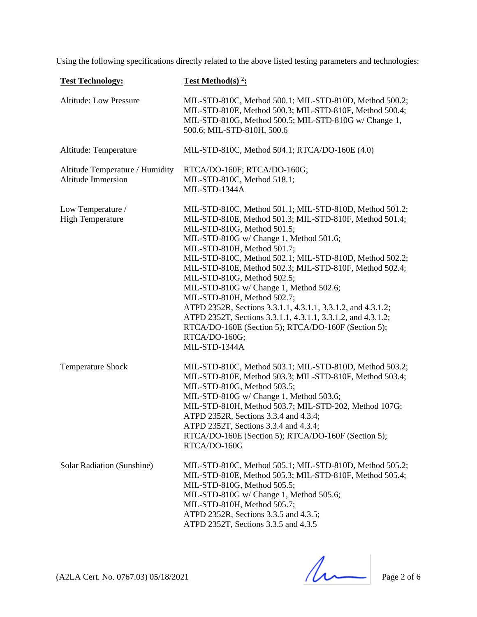Using the following specifications directly related to the above listed testing parameters and technologies:

| <b>Test Technology:</b>                                      | <b>Test Method(s)</b> $2$ :                                                                                                                                                                                                                                                                                                                                                                                                                                                                                                                                                                                                                                                         |
|--------------------------------------------------------------|-------------------------------------------------------------------------------------------------------------------------------------------------------------------------------------------------------------------------------------------------------------------------------------------------------------------------------------------------------------------------------------------------------------------------------------------------------------------------------------------------------------------------------------------------------------------------------------------------------------------------------------------------------------------------------------|
| <b>Altitude: Low Pressure</b>                                | MIL-STD-810C, Method 500.1; MIL-STD-810D, Method 500.2;<br>MIL-STD-810E, Method 500.3; MIL-STD-810F, Method 500.4;<br>MIL-STD-810G, Method 500.5; MIL-STD-810G w/ Change 1,<br>500.6; MIL-STD-810H, 500.6                                                                                                                                                                                                                                                                                                                                                                                                                                                                           |
| Altitude: Temperature                                        | MIL-STD-810C, Method 504.1; RTCA/DO-160E (4.0)                                                                                                                                                                                                                                                                                                                                                                                                                                                                                                                                                                                                                                      |
| Altitude Temperature / Humidity<br><b>Altitude Immersion</b> | RTCA/DO-160F; RTCA/DO-160G;<br>MIL-STD-810C, Method 518.1;<br>MIL-STD-1344A                                                                                                                                                                                                                                                                                                                                                                                                                                                                                                                                                                                                         |
| Low Temperature /<br><b>High Temperature</b>                 | MIL-STD-810C, Method 501.1; MIL-STD-810D, Method 501.2;<br>MIL-STD-810E, Method 501.3; MIL-STD-810F, Method 501.4;<br>MIL-STD-810G, Method 501.5;<br>MIL-STD-810G w/ Change 1, Method 501.6;<br>MIL-STD-810H, Method 501.7;<br>MIL-STD-810C, Method 502.1; MIL-STD-810D, Method 502.2;<br>MIL-STD-810E, Method 502.3; MIL-STD-810F, Method 502.4;<br>MIL-STD-810G, Method 502.5;<br>MIL-STD-810G w/ Change 1, Method 502.6;<br>MIL-STD-810H, Method 502.7;<br>ATPD 2352R, Sections 3.3.1.1, 4.3.1.1, 3.3.1.2, and 4.3.1.2;<br>ATPD 2352T, Sections 3.3.1.1, 4.3.1.1, 3.3.1.2, and 4.3.1.2;<br>RTCA/DO-160E (Section 5); RTCA/DO-160F (Section 5);<br>RTCA/DO-160G;<br>MIL-STD-1344A |
| <b>Temperature Shock</b>                                     | MIL-STD-810C, Method 503.1; MIL-STD-810D, Method 503.2;<br>MIL-STD-810E, Method 503.3; MIL-STD-810F, Method 503.4;<br>MIL-STD-810G, Method 503.5;<br>MIL-STD-810G w/ Change 1, Method 503.6;<br>MIL-STD-810H, Method 503.7; MIL-STD-202, Method 107G;<br>ATPD 2352R, Sections 3.3.4 and 4.3.4;<br>ATPD 2352T, Sections 3.3.4 and 4.3.4;<br>RTCA/DO-160E (Section 5); RTCA/DO-160F (Section 5);<br>RTCA/DO-160G                                                                                                                                                                                                                                                                      |
| <b>Solar Radiation (Sunshine)</b>                            | MIL-STD-810C, Method 505.1; MIL-STD-810D, Method 505.2;<br>MIL-STD-810E, Method 505.3; MIL-STD-810F, Method 505.4;<br>MIL-STD-810G, Method 505.5;<br>MIL-STD-810G w/ Change 1, Method 505.6;<br>MIL-STD-810H, Method 505.7;<br>ATPD 2352R, Sections 3.3.5 and 4.3.5;<br>ATPD 2352T, Sections 3.3.5 and 4.3.5                                                                                                                                                                                                                                                                                                                                                                        |

 $(A2LA$  Cert. No. 0767.03) 05/18/2021 Page 2 of 6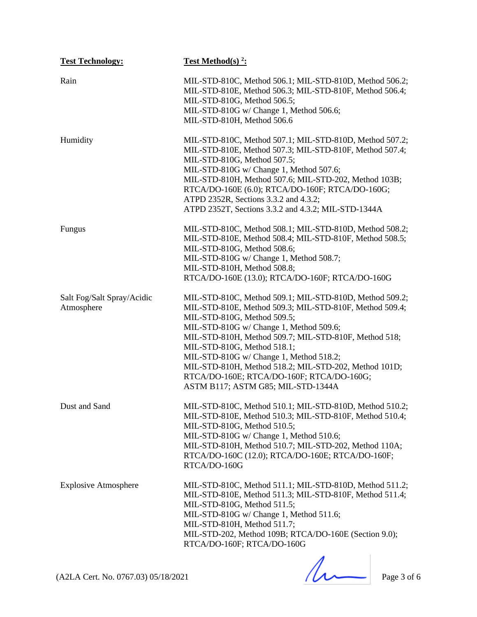| Rain<br>MIL-STD-810C, Method 506.1; MIL-STD-810D, Method 506.2;<br>MIL-STD-810E, Method 506.3; MIL-STD-810F, Method 506.4;<br>MIL-STD-810G, Method 506.5;<br>MIL-STD-810G w/ Change 1, Method 506.6;<br>MIL-STD-810H, Method 506.6<br>MIL-STD-810C, Method 507.1; MIL-STD-810D, Method 507.2;<br>Humidity<br>MIL-STD-810E, Method 507.3; MIL-STD-810F, Method 507.4;<br>MIL-STD-810G, Method 507.5;<br>MIL-STD-810G w/ Change 1, Method 507.6;<br>MIL-STD-810H, Method 507.6; MIL-STD-202, Method 103B;<br>RTCA/DO-160E (6.0); RTCA/DO-160F; RTCA/DO-160G;<br>ATPD 2352R, Sections 3.3.2 and 4.3.2;<br>ATPD 2352T, Sections 3.3.2 and 4.3.2; MIL-STD-1344A<br>MIL-STD-810C, Method 508.1; MIL-STD-810D, Method 508.2;<br>Fungus<br>MIL-STD-810E, Method 508.4; MIL-STD-810F, Method 508.5;<br>MIL-STD-810G, Method 508.6;<br>MIL-STD-810G w/ Change 1, Method 508.7;<br>MIL-STD-810H, Method 508.8;<br>RTCA/DO-160E (13.0); RTCA/DO-160F; RTCA/DO-160G<br>Salt Fog/Salt Spray/Acidic<br>MIL-STD-810C, Method 509.1; MIL-STD-810D, Method 509.2;<br>MIL-STD-810E, Method 509.3; MIL-STD-810F, Method 509.4;<br>Atmosphere<br>MIL-STD-810G, Method 509.5;<br>MIL-STD-810G w/ Change 1, Method 509.6;<br>MIL-STD-810H, Method 509.7; MIL-STD-810F, Method 518;<br>MIL-STD-810G, Method 518.1;<br>MIL-STD-810G w/ Change 1, Method 518.2;<br>MIL-STD-810H, Method 518.2; MIL-STD-202, Method 101D;<br>RTCA/DO-160E; RTCA/DO-160F; RTCA/DO-160G;<br>ASTM B117; ASTM G85; MIL-STD-1344A<br>MIL-STD-810C, Method 510.1; MIL-STD-810D, Method 510.2;<br>Dust and Sand<br>MIL-STD-810E, Method 510.3; MIL-STD-810F, Method 510.4;<br>MIL-STD-810G, Method 510.5;<br>MIL-STD-810G w/ Change 1, Method 510.6;<br>MIL-STD-810H, Method 510.7; MIL-STD-202, Method 110A;<br>RTCA/DO-160C (12.0); RTCA/DO-160E; RTCA/DO-160F;<br>RTCA/DO-160G<br><b>Explosive Atmosphere</b><br>MIL-STD-810C, Method 511.1; MIL-STD-810D, Method 511.2;<br>MIL-STD-810E, Method 511.3; MIL-STD-810F, Method 511.4;<br>MIL-STD-810G, Method 511.5;<br>MIL-STD-810G w/ Change 1, Method 511.6;<br>MIL-STD-810H, Method 511.7;<br>MIL-STD-202, Method 109B; RTCA/DO-160E (Section 9.0);<br>RTCA/DO-160F; RTCA/DO-160G<br>Page 3 of 6<br>(A2LA Cert. No. 0767.03) 05/18/2021 | <b>Test Technology:</b> | Test Method(s) <sup>2</sup> : |
|--------------------------------------------------------------------------------------------------------------------------------------------------------------------------------------------------------------------------------------------------------------------------------------------------------------------------------------------------------------------------------------------------------------------------------------------------------------------------------------------------------------------------------------------------------------------------------------------------------------------------------------------------------------------------------------------------------------------------------------------------------------------------------------------------------------------------------------------------------------------------------------------------------------------------------------------------------------------------------------------------------------------------------------------------------------------------------------------------------------------------------------------------------------------------------------------------------------------------------------------------------------------------------------------------------------------------------------------------------------------------------------------------------------------------------------------------------------------------------------------------------------------------------------------------------------------------------------------------------------------------------------------------------------------------------------------------------------------------------------------------------------------------------------------------------------------------------------------------------------------------------------------------------------------------------------------------------------------------------------------------------------------------------------------------------------------------------------------------------------------------------------------------------------------------------------------------------------------------------------------|-------------------------|-------------------------------|
|                                                                                                                                                                                                                                                                                                                                                                                                                                                                                                                                                                                                                                                                                                                                                                                                                                                                                                                                                                                                                                                                                                                                                                                                                                                                                                                                                                                                                                                                                                                                                                                                                                                                                                                                                                                                                                                                                                                                                                                                                                                                                                                                                                                                                                            |                         |                               |
|                                                                                                                                                                                                                                                                                                                                                                                                                                                                                                                                                                                                                                                                                                                                                                                                                                                                                                                                                                                                                                                                                                                                                                                                                                                                                                                                                                                                                                                                                                                                                                                                                                                                                                                                                                                                                                                                                                                                                                                                                                                                                                                                                                                                                                            |                         |                               |
|                                                                                                                                                                                                                                                                                                                                                                                                                                                                                                                                                                                                                                                                                                                                                                                                                                                                                                                                                                                                                                                                                                                                                                                                                                                                                                                                                                                                                                                                                                                                                                                                                                                                                                                                                                                                                                                                                                                                                                                                                                                                                                                                                                                                                                            |                         |                               |
|                                                                                                                                                                                                                                                                                                                                                                                                                                                                                                                                                                                                                                                                                                                                                                                                                                                                                                                                                                                                                                                                                                                                                                                                                                                                                                                                                                                                                                                                                                                                                                                                                                                                                                                                                                                                                                                                                                                                                                                                                                                                                                                                                                                                                                            |                         |                               |
|                                                                                                                                                                                                                                                                                                                                                                                                                                                                                                                                                                                                                                                                                                                                                                                                                                                                                                                                                                                                                                                                                                                                                                                                                                                                                                                                                                                                                                                                                                                                                                                                                                                                                                                                                                                                                                                                                                                                                                                                                                                                                                                                                                                                                                            |                         |                               |
|                                                                                                                                                                                                                                                                                                                                                                                                                                                                                                                                                                                                                                                                                                                                                                                                                                                                                                                                                                                                                                                                                                                                                                                                                                                                                                                                                                                                                                                                                                                                                                                                                                                                                                                                                                                                                                                                                                                                                                                                                                                                                                                                                                                                                                            |                         |                               |
|                                                                                                                                                                                                                                                                                                                                                                                                                                                                                                                                                                                                                                                                                                                                                                                                                                                                                                                                                                                                                                                                                                                                                                                                                                                                                                                                                                                                                                                                                                                                                                                                                                                                                                                                                                                                                                                                                                                                                                                                                                                                                                                                                                                                                                            |                         |                               |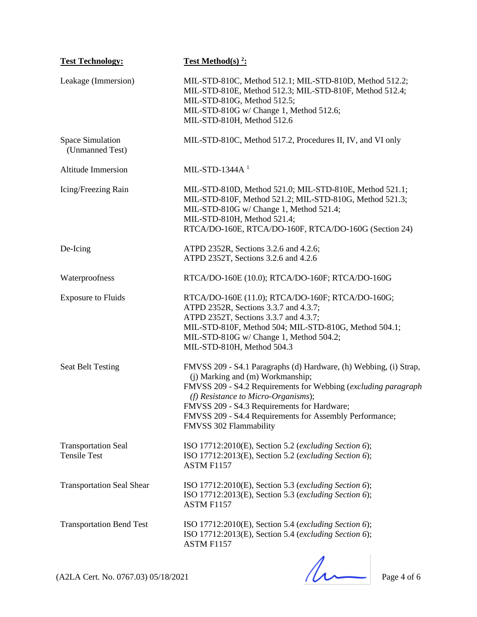| <b>Test Technology:</b>                           | <b>Test Method(s) <math>2</math>:</b>                                                                                                                                                                                                                                                                                                              |
|---------------------------------------------------|----------------------------------------------------------------------------------------------------------------------------------------------------------------------------------------------------------------------------------------------------------------------------------------------------------------------------------------------------|
| Leakage (Immersion)                               | MIL-STD-810C, Method 512.1; MIL-STD-810D, Method 512.2;<br>MIL-STD-810E, Method 512.3; MIL-STD-810F, Method 512.4;<br>MIL-STD-810G, Method 512.5;<br>MIL-STD-810G w/ Change 1, Method 512.6;<br>MIL-STD-810H, Method 512.6                                                                                                                         |
| Space Simulation<br>(Unmanned Test)               | MIL-STD-810C, Method 517.2, Procedures II, IV, and VI only                                                                                                                                                                                                                                                                                         |
| Altitude Immersion                                | MIL-STD-1344A <sup>1</sup>                                                                                                                                                                                                                                                                                                                         |
| Icing/Freezing Rain                               | MIL-STD-810D, Method 521.0; MIL-STD-810E, Method 521.1;<br>MIL-STD-810F, Method 521.2; MIL-STD-810G, Method 521.3;<br>MIL-STD-810G w/ Change 1, Method 521.4;<br>MIL-STD-810H, Method 521.4;<br>RTCA/DO-160E, RTCA/DO-160F, RTCA/DO-160G (Section 24)                                                                                              |
| De-Icing                                          | ATPD 2352R, Sections 3.2.6 and 4.2.6;<br>ATPD 2352T, Sections 3.2.6 and 4.2.6                                                                                                                                                                                                                                                                      |
| Waterproofness                                    | RTCA/DO-160E (10.0); RTCA/DO-160F; RTCA/DO-160G                                                                                                                                                                                                                                                                                                    |
| <b>Exposure to Fluids</b>                         | RTCA/DO-160E (11.0); RTCA/DO-160F; RTCA/DO-160G;<br>ATPD 2352R, Sections 3.3.7 and 4.3.7;<br>ATPD 2352T, Sections 3.3.7 and 4.3.7;<br>MIL-STD-810F, Method 504; MIL-STD-810G, Method 504.1;<br>MIL-STD-810G w/ Change 1, Method 504.2;<br>MIL-STD-810H, Method 504.3                                                                               |
| <b>Seat Belt Testing</b>                          | FMVSS 209 - S4.1 Paragraphs (d) Hardware, (h) Webbing, (i) Strap,<br>(j) Marking and (m) Workmanship;<br>FMVSS 209 - S4.2 Requirements for Webbing (excluding paragraph<br>(f) Resistance to Micro-Organisms);<br>FMVSS 209 - S4.3 Requirements for Hardware;<br>FMVSS 209 - S4.4 Requirements for Assembly Performance;<br>FMVSS 302 Flammability |
| <b>Transportation Seal</b><br><b>Tensile Test</b> | ISO 17712:2010 $(E)$ , Section 5.2 (excluding Section 6);<br>ISO 17712:2013(E), Section 5.2 (excluding Section 6);<br>ASTM F1157                                                                                                                                                                                                                   |
| <b>Transportation Seal Shear</b>                  | ISO 17712:2010(E), Section 5.3 (excluding Section 6);<br>ISO 17712:2013(E), Section 5.3 (excluding Section 6);<br>ASTM F1157                                                                                                                                                                                                                       |
| <b>Transportation Bend Test</b>                   | ISO 17712:2010 $(E)$ , Section 5.4 (excluding Section 6);<br>ISO 17712:2013(E), Section 5.4 (excluding Section 6);<br>ASTM F1157                                                                                                                                                                                                                   |
|                                                   | Page 4 of 6                                                                                                                                                                                                                                                                                                                                        |
| (A2LA Cert. No. 0767.03) 05/18/2021               |                                                                                                                                                                                                                                                                                                                                                    |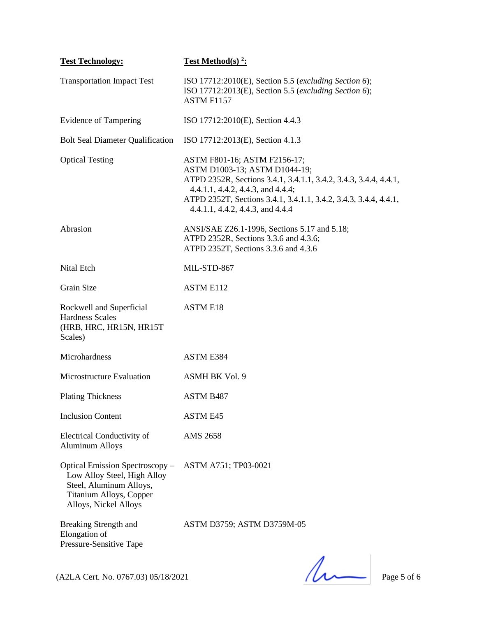| <b>Test Technology:</b>                                                                                                                       | <b>Test Method(s) <math>2</math>:</b>                                                                                                                                                                                                                                          |
|-----------------------------------------------------------------------------------------------------------------------------------------------|--------------------------------------------------------------------------------------------------------------------------------------------------------------------------------------------------------------------------------------------------------------------------------|
| <b>Transportation Impact Test</b>                                                                                                             | ISO 17712:2010(E), Section 5.5 (excluding Section 6);<br>ISO 17712:2013(E), Section 5.5 (excluding Section 6);<br>ASTM F1157                                                                                                                                                   |
| <b>Evidence of Tampering</b>                                                                                                                  | ISO 17712:2010(E), Section 4.4.3                                                                                                                                                                                                                                               |
| <b>Bolt Seal Diameter Qualification</b>                                                                                                       | ISO 17712:2013(E), Section 4.1.3                                                                                                                                                                                                                                               |
| <b>Optical Testing</b>                                                                                                                        | ASTM F801-16; ASTM F2156-17;<br>ASTM D1003-13; ASTM D1044-19;<br>ATPD 2352R, Sections 3.4.1, 3.4.1.1, 3.4.2, 3.4.3, 3.4.4, 4.4.1,<br>4.4.1.1, 4.4.2, 4.4.3, and 4.4.4;<br>ATPD 2352T, Sections 3.4.1, 3.4.1.1, 3.4.2, 3.4.3, 3.4.4, 4.4.1,<br>4.4.1.1, 4.4.2, 4.4.3, and 4.4.4 |
| Abrasion                                                                                                                                      | ANSI/SAE Z26.1-1996, Sections 5.17 and 5.18;<br>ATPD 2352R, Sections 3.3.6 and 4.3.6;<br>ATPD 2352T, Sections 3.3.6 and 4.3.6                                                                                                                                                  |
| Nital Etch                                                                                                                                    | MIL-STD-867                                                                                                                                                                                                                                                                    |
| Grain Size                                                                                                                                    | ASTM E112                                                                                                                                                                                                                                                                      |
| Rockwell and Superficial<br><b>Hardness Scales</b><br>(HRB, HRC, HR15N, HR15T<br>Scales)                                                      | <b>ASTM E18</b>                                                                                                                                                                                                                                                                |
| Microhardness                                                                                                                                 | <b>ASTM E384</b>                                                                                                                                                                                                                                                               |
| Microstructure Evaluation                                                                                                                     | ASMH BK Vol. 9                                                                                                                                                                                                                                                                 |
| <b>Plating Thickness</b>                                                                                                                      | <b>ASTM B487</b>                                                                                                                                                                                                                                                               |
| <b>Inclusion Content</b>                                                                                                                      | <b>ASTM E45</b>                                                                                                                                                                                                                                                                |
| Electrical Conductivity of<br><b>Aluminum Alloys</b>                                                                                          | AMS 2658                                                                                                                                                                                                                                                                       |
| Optical Emission Spectroscopy -<br>Low Alloy Steel, High Alloy<br>Steel, Aluminum Alloys,<br>Titanium Alloys, Copper<br>Alloys, Nickel Alloys | ASTM A751; TP03-0021                                                                                                                                                                                                                                                           |
| <b>Breaking Strength and</b><br>Elongation of<br>Pressure-Sensitive Tape                                                                      | ASTM D3759; ASTM D3759M-05                                                                                                                                                                                                                                                     |

 $(A2LA$  Cert. No. 0767.03) 05/18/2021 Page 5 of 6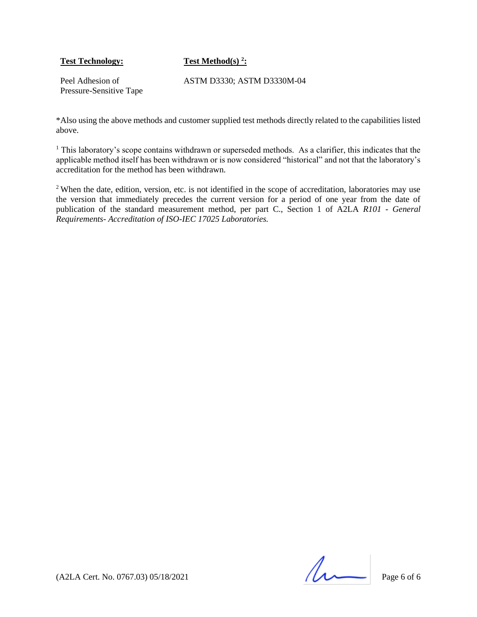**Test Technology: Test Method(s) <sup>2</sup> :**

Peel Adhesion of Pressure-Sensitive Tape ASTM D3330; ASTM D3330M-04

\*Also using the above methods and customer supplied test methods directly related to the capabilities listed above.

<sup>1</sup> This laboratory's scope contains withdrawn or superseded methods. As a clarifier, this indicates that the applicable method itself has been withdrawn or is now considered "historical" and not that the laboratory's accreditation for the method has been withdrawn.

<sup>2</sup> When the date, edition, version, etc. is not identified in the scope of accreditation, laboratories may use the version that immediately precedes the current version for a period of one year from the date of publication of the standard measurement method, per part C., Section 1 of A2LA *R101 - General Requirements- Accreditation of ISO-IEC 17025 Laboratories.*

 $(A2LA$  Cert. No. 0767.03) 05/18/2021 Page 6 of 6